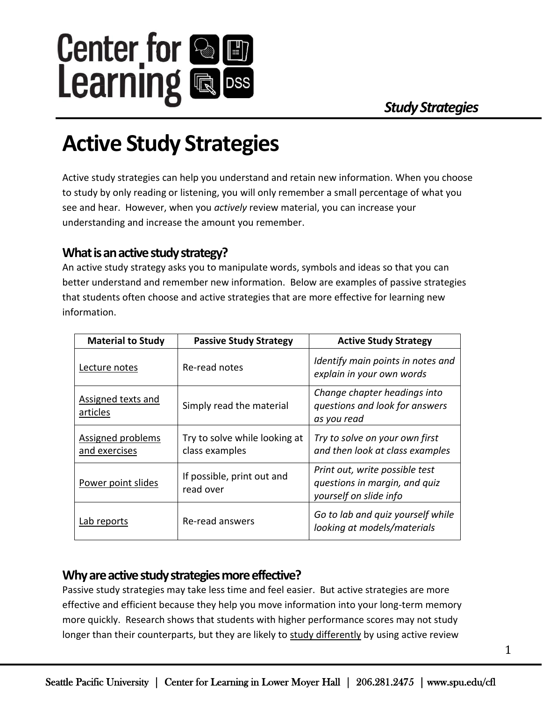

# **Active Study Strategies**

Active study strategies can help you understand and retain new information. When you choose to study by only reading or listening, you will only remember a small percentage of what you see and hear. However, when you *actively* review material, you can increase your understanding and increase the amount you remember.

## **What is an active study strategy?**

An active study strategy asks you to manipulate words, symbols and ideas so that you can better understand and remember new information. Below are examples of passive strategies that students often choose and active strategies that are more effective for learning new information.

| <b>Material to Study</b>           | <b>Passive Study Strategy</b>                   | <b>Active Study Strategy</b>                                                              |
|------------------------------------|-------------------------------------------------|-------------------------------------------------------------------------------------------|
| Lecture notes                      | Re-read notes                                   | Identify main points in notes and<br>explain in your own words                            |
| Assigned texts and<br>articles     | Simply read the material                        | Change chapter headings into<br>questions and look for answers<br>as you read             |
| Assigned problems<br>and exercises | Try to solve while looking at<br>class examples | Try to solve on your own first<br>and then look at class examples                         |
| Power point slides                 | If possible, print out and<br>read over         | Print out, write possible test<br>questions in margin, and quiz<br>yourself on slide info |
| Lab reports                        | Re-read answers                                 | Go to lab and quiz yourself while<br>looking at models/materials                          |

## **Why are active study strategies more effective?**

Passive study strategies may take less time and feel easier. But active strategies are more effective and efficient because they help you move information into your long-term memory more quickly. Research shows that students with higher performance scores may not study longer than their counterparts, but they are likely to study differently by using active review